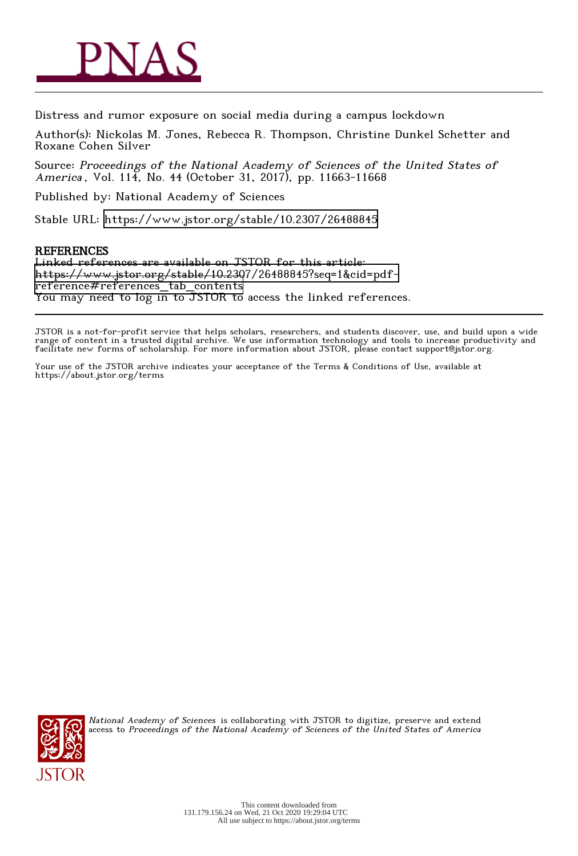

Distress and rumor exposure on social media during a campus lockdown

Author(s): Nickolas M. Jones, Rebecca R. Thompson, Christine Dunkel Schetter and Roxane Cohen Silver

Source: Proceedings of the National Academy of Sciences of the United States of America, Vol. 114, No. 44 (October 31, 2017), pp. 11663-11668

Published by: National Academy of Sciences

Stable URL:<https://www.jstor.org/stable/10.2307/26488845>

# REFERENCES

Linked references are available on JSTOR for this article: [https://www.jstor.org/stable/10.2307/26488845?seq=1&cid=pdf](https://www.jstor.org/stable/10.2307/26488845?seq=1&cid=pdf-reference#references_tab_contents)[reference#references\\_tab\\_contents](https://www.jstor.org/stable/10.2307/26488845?seq=1&cid=pdf-reference#references_tab_contents) You may need to log in to JSTOR to access the linked references.

JSTOR is a not-for-profit service that helps scholars, researchers, and students discover, use, and build upon a wide range of content in a trusted digital archive. We use information technology and tools to increase productivity and facilitate new forms of scholarship. For more information about JSTOR, please contact support@jstor.org.

Your use of the JSTOR archive indicates your acceptance of the Terms & Conditions of Use, available at https://about.jstor.org/terms



National Academy of Sciences is collaborating with JSTOR to digitize, preserve and extend access to Proceedings of the National Academy of Sciences of the United States of America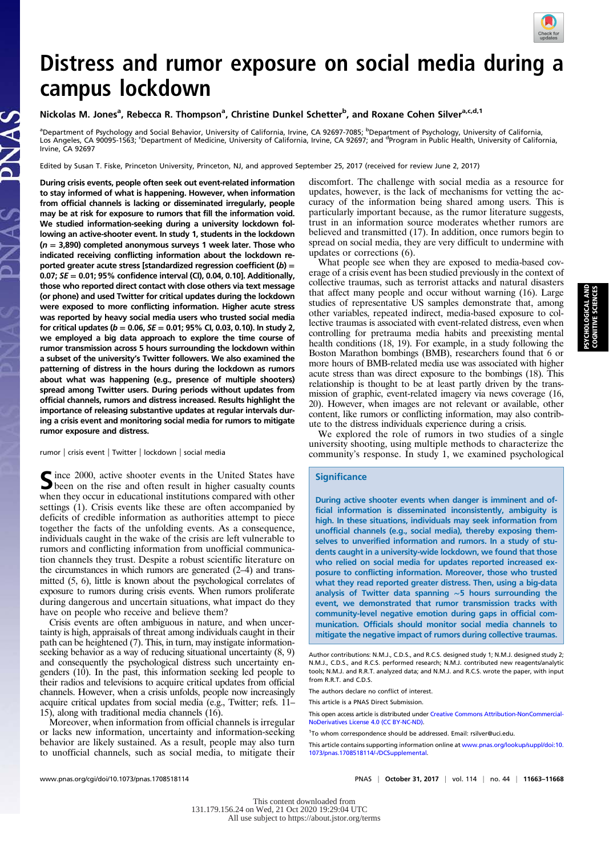

# Distress and rumor exposure on social media during a campus lockdown

# Nickolas M. Jones<sup>a</sup>, Rebecca R. Thompson<sup>a</sup>, Christine Dunkel Schetter<sup>b</sup>, and Roxane Cohen Silver<sup>a,c,d,1</sup>

<sup>a</sup>Department of Psychology and Social Behavior, University of California, Irvine, CA 92697-7085; <sup>b</sup>Department of Psychology, University of California,<br>Los Angeles, CA 90095-1563; 'Department of Medicine, University of Ca Irvine, CA 92697

Edited by Susan T. Fiske, Princeton University, Princeton, NJ, and approved September 25, 2017 (received for review June 2, 2017)

During crisis events, people often seek out event-related information to stay informed of what is happening. However, when information from official channels is lacking or disseminated irregularly, people may be at risk for exposure to rumors that fill the information void. We studied information-seeking during a university lockdown following an active-shooter event. In study 1, students in the lockdown  $(n = 3,890)$  completed anonymous surveys 1 week later. Those who indicated receiving conflicting information about the lockdown reported greater acute stress [standardized regression coefficient  $(b)$  = 0.07;  $SE = 0.01$ ; 95% confidence interval (CI), 0.04, 0.10]. Additionally, those who reported direct contact with close others via text message (or phone) and used Twitter for critical updates during the lockdown were exposed to more conflicting information. Higher acute stress was reported by heavy social media users who trusted social media for critical updates ( $b = 0.06$ ,  $SE = 0.01$ ; 95% CI, 0.03, 0.10). In study 2, we employed a big data approach to explore the time course of rumor transmission across 5 hours surrounding the lockdown within a subset of the university's Twitter followers. We also examined the patterning of distress in the hours during the lockdown as rumors about what was happening (e.g., presence of multiple shooters) spread among Twitter users. During periods without updates from official channels, rumors and distress increased. Results highlight the importance of releasing substantive updates at regular intervals during a crisis event and monitoring social media for rumors to mitigate rumor exposure and distress.

rumor | crisis event | Twitter | lockdown | social media

Since 2000, active shooter events in the United States have<br>been on the rise and often result in higher casualty counts when they occur in educational institutions compared with other settings (1). Crisis events like these are often accompanied by deficits of credible information as authorities attempt to piece together the facts of the unfolding events. As a consequence, individuals caught in the wake of the crisis are left vulnerable to rumors and conflicting information from unofficial communication channels they trust. Despite a robust scientific literature on the circumstances in which rumors are generated (2–4) and transmitted (5, 6), little is known about the psychological correlates of exposure to rumors during crisis events. When rumors proliferate during dangerous and uncertain situations, what impact do they have on people who receive and believe them?

Crisis events are often ambiguous in nature, and when uncertainty is high, appraisals of threat among individuals caught in their path can be heightened (7). This, in turn, may instigate informationseeking behavior as a way of reducing situational uncertainty  $(8, 9)$ and consequently the psychological distress such uncertainty engenders (10). In the past, this information seeking led people to their radios and televisions to acquire critical updates from official channels. However, when a crisis unfolds, people now increasingly acquire critical updates from social media (e.g., Twitter; refs. 11– 15), along with traditional media channels (16).

Moreover, when information from official channels is irregular or lacks new information, uncertainty and information-seeking behavior are likely sustained. As a result, people may also turn to unofficial channels, such as social media, to mitigate their

discomfort. The challenge with social media as a resource for updates, however, is the lack of mechanisms for vetting the accuracy of the information being shared among users. This is particularly important because, as the rumor literature suggests, trust in an information source moderates whether rumors are believed and transmitted (17). In addition, once rumors begin to spread on social media, they are very difficult to undermine with updates or corrections (6).

What people see when they are exposed to media-based coverage of a crisis event has been studied previously in the context of collective traumas, such as terrorist attacks and natural disasters that affect many people and occur without warning (16). Large studies of representative US samples demonstrate that, among other variables, repeated indirect, media-based exposure to collective traumas is associated with event-related distress, even when controlling for pretrauma media habits and preexisting mental health conditions (18, 19). For example, in a study following the Boston Marathon bombings (BMB), researchers found that 6 or more hours of BMB-related media use was associated with higher acute stress than was direct exposure to the bombings (18). This relationship is thought to be at least partly driven by the transmission of graphic, event-related imagery via news coverage (16, 20). However, when images are not relevant or available, other content, like rumors or conflicting information, may also contribute to the distress individuals experience during a crisis.

We explored the role of rumors in two studies of a single university shooting, using multiple methods to characterize the community's response. In study 1, we examined psychological

## **Significance**

During active shooter events when danger is imminent and official information is disseminated inconsistently, ambiguity is high. In these situations, individuals may seek information from unofficial channels (e.g., social media), thereby exposing themselves to unverified information and rumors. In a study of students caught in a university-wide lockdown, we found that those who relied on social media for updates reported increased exposure to conflicting information. Moreover, those who trusted what they read reported greater distress. Then, using a big-data analysis of Twitter data spanning ∼5 hours surrounding the event, we demonstrated that rumor transmission tracks with community-level negative emotion during gaps in official communication. Officials should monitor social media channels to mitigate the negative impact of rumors during collective traumas.

The authors declare no conflict of interest.

This article is a PNAS Direct Submission.

This open access article is distributed under [Creative Commons Attribution-NonCommercial-](https://creativecommons.org/licenses/by-nc-nd/4.0/)[NoDerivatives License 4.0 \(CC BY-NC-ND\)](https://creativecommons.org/licenses/by-nc-nd/4.0/).

<sup>1</sup>To whom correspondence should be addressed. Email: [rsilver@uci.edu](mailto:rsilver@uci.edu).

<www.pnas.org/cgi/doi/10.1073/pnas.1708518114> **PNAS** PNAS | October 31, 2017 | vol. 114 | no. 44 | 11663–11668

Author contributions: N.M.J., C.D.S., and R.C.S. designed study 1; N.M.J. designed study 2; N.M.J., C.D.S., and R.C.S. performed research; N.M.J. contributed new reagents/analytic tools; N.M.J. and R.R.T. analyzed data; and N.M.J. and R.C.S. wrote the paper, with input from R.R.T. and C.D.S.

This article contains supporting information online at [www.pnas.org/lookup/suppl/doi:10.](http://www.pnas.org/lookup/suppl/doi:10.1073/pnas.1708518114/-/DCSupplemental) [1073/pnas.1708518114/-/DCSupplemental](http://www.pnas.org/lookup/suppl/doi:10.1073/pnas.1708518114/-/DCSupplemental).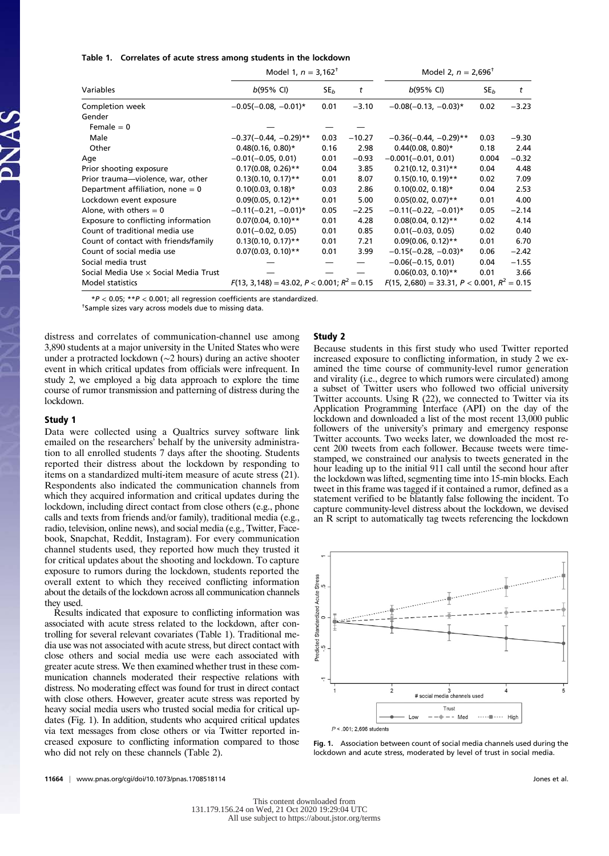|  |  |  |  |  |  |  |  |  | Table 1. Correlates of acute stress among students in the lockdown |  |  |  |  |  |  |  |
|--|--|--|--|--|--|--|--|--|--------------------------------------------------------------------|--|--|--|--|--|--|--|
|--|--|--|--|--|--|--|--|--|--------------------------------------------------------------------|--|--|--|--|--|--|--|

|                                              | Model 1, $n = 3.162^{\dagger}$                 |                 |          | Model 2, $n = 2.696^{\dagger}$                |                 |         |  |
|----------------------------------------------|------------------------------------------------|-----------------|----------|-----------------------------------------------|-----------------|---------|--|
| Variables                                    | $b(95% \text{ Cl})$                            | SE <sub>b</sub> | t        | $b(95% \text{ Cl})$                           | SE <sub>b</sub> | t       |  |
| Completion week                              | $-0.05(-0.08, -0.01)*$                         | 0.01            | $-3.10$  | $-0.08(-0.13, -0.03)*$                        | 0.02            | $-3.23$ |  |
| Gender                                       |                                                |                 |          |                                               |                 |         |  |
| Female $= 0$                                 |                                                |                 |          |                                               |                 |         |  |
| Male                                         | $-0.37(-0.44, -0.29)$ **                       | 0.03            | $-10.27$ | $-0.36(-0.44, -0.29)$ **                      | 0.03            | $-9.30$ |  |
| Other                                        | $0.48(0.16, 0.80)$ *                           | 0.16            | 2.98     | $0.44(0.08, 0.80)$ *                          | 0.18            | 2.44    |  |
| Age                                          | $-0.01(-0.05, 0.01)$                           | 0.01            | $-0.93$  | $-0.001(-0.01, 0.01)$                         | 0.004           | $-0.32$ |  |
| Prior shooting exposure                      | $0.17(0.08, 0.26)$ **                          | 0.04            | 3.85     | $0.21(0.12, 0.31)$ **                         | 0.04            | 4.48    |  |
| Prior trauma-violence, war, other            | $0.13(0.10, 0.17)$ **                          | 0.01            | 8.07     | $0.15(0.10, 0.19)$ **                         | 0.02            | 7.09    |  |
| Department affiliation, none $= 0$           | $0.10(0.03, 0.18)$ *                           | 0.03            | 2.86     | $0.10(0.02, 0.18)$ *                          | 0.04            | 2.53    |  |
| Lockdown event exposure                      | $0.09(0.05, 0.12)$ **                          | 0.01            | 5.00     | $0.05(0.02, 0.07)$ **                         | 0.01            | 4.00    |  |
| Alone, with others $= 0$                     | $-0.11(-0.21, -0.01)*$                         | 0.05            | $-2.25$  | $-0.11(-0.22, -0.01)*$                        | 0.05            | $-2.14$ |  |
| Exposure to conflicting information          | $0.07(0.04, 0.10)$ **                          | 0.01            | 4.28     | $0.08(0.04, 0.12)$ **                         | 0.02            | 4.14    |  |
| Count of traditional media use               | $0.01(-0.02, 0.05)$                            | 0.01            | 0.85     | $0.01(-0.03, 0.05)$                           | 0.02            | 0.40    |  |
| Count of contact with friends/family         | $0.13(0.10, 0.17)$ **                          | 0.01            | 7.21     | $0.09(0.06, 0.12)$ **                         | 0.01            | 6.70    |  |
| Count of social media use                    | $0.07(0.03, 0.10)$ **                          | 0.01            | 3.99     | $-0.15(-0.28, -0.03)*$                        | 0.06            | $-2.42$ |  |
| Social media trust                           |                                                |                 |          | $-0.06(-0.15, 0.01)$                          | 0.04            | $-1.55$ |  |
| Social Media Use $\times$ Social Media Trust |                                                |                 |          | $0.06(0.03, 0.10)$ **                         | 0.01            | 3.66    |  |
| Model statistics                             | $F(13, 3, 148) = 43.02, P < 0.001; R^2 = 0.15$ |                 |          | $F(15, 2,680) = 33.31, P < 0.001, R^2 = 0.15$ |                 |         |  |

 $*P < 0.05$ ;  $*P < 0.001$ ; all regression coefficients are standardized.

<sup>+</sup>Sample sizes vary across models due to missing data.

distress and correlates of communication-channel use among 3,890 students at a major university in the United States who were under a protracted lockdown (∼2 hours) during an active shooter event in which critical updates from officials were infrequent. In study 2, we employed a big data approach to explore the time course of rumor transmission and patterning of distress during the lockdown.

## Study 1

Data were collected using a Qualtrics survey software link emailed on the researchers' behalf by the university administration to all enrolled students 7 days after the shooting. Students reported their distress about the lockdown by responding to items on a standardized multi-item measure of acute stress (21). Respondents also indicated the communication channels from which they acquired information and critical updates during the lockdown, including direct contact from close others (e.g., phone calls and texts from friends and/or family), traditional media (e.g., radio, television, online news), and social media (e.g., Twitter, Facebook, Snapchat, Reddit, Instagram). For every communication channel students used, they reported how much they trusted it for critical updates about the shooting and lockdown. To capture exposure to rumors during the lockdown, students reported the overall extent to which they received conflicting information about the details of the lockdown across all communication channels they used.

Results indicated that exposure to conflicting information was associated with acute stress related to the lockdown, after controlling for several relevant covariates (Table 1). Traditional media use was not associated with acute stress, but direct contact with close others and social media use were each associated with greater acute stress. We then examined whether trust in these communication channels moderated their respective relations with distress. No moderating effect was found for trust in direct contact with close others. However, greater acute stress was reported by heavy social media users who trusted social media for critical updates (Fig. 1). In addition, students who acquired critical updates via text messages from close others or via Twitter reported increased exposure to conflicting information compared to those who did not rely on these channels (Table 2).

## Study 2

Because students in this first study who used Twitter reported increased exposure to conflicting information, in study 2 we examined the time course of community-level rumor generation and virality (i.e., degree to which rumors were circulated) among a subset of Twitter users who followed two official university Twitter accounts. Using R (22), we connected to Twitter via its Application Programming Interface (API) on the day of the lockdown and downloaded a list of the most recent 13,000 public followers of the university's primary and emergency response Twitter accounts. Two weeks later, we downloaded the most recent 200 tweets from each follower. Because tweets were timestamped, we constrained our analysis to tweets generated in the hour leading up to the initial 911 call until the second hour after the lockdown was lifted, segmenting time into 15-min blocks. Each tweet in this frame was tagged if it contained a rumor, defined as a statement verified to be blatantly false following the incident. To capture community-level distress about the lockdown, we devised an R script to automatically tag tweets referencing the lockdown



Fig. 1. Association between count of social media channels used during the lockdown and acute stress, moderated by level of trust in social media.

11664 <sup>|</sup> <www.pnas.org/cgi/doi/10.1073/pnas.1708518114> Jones et al.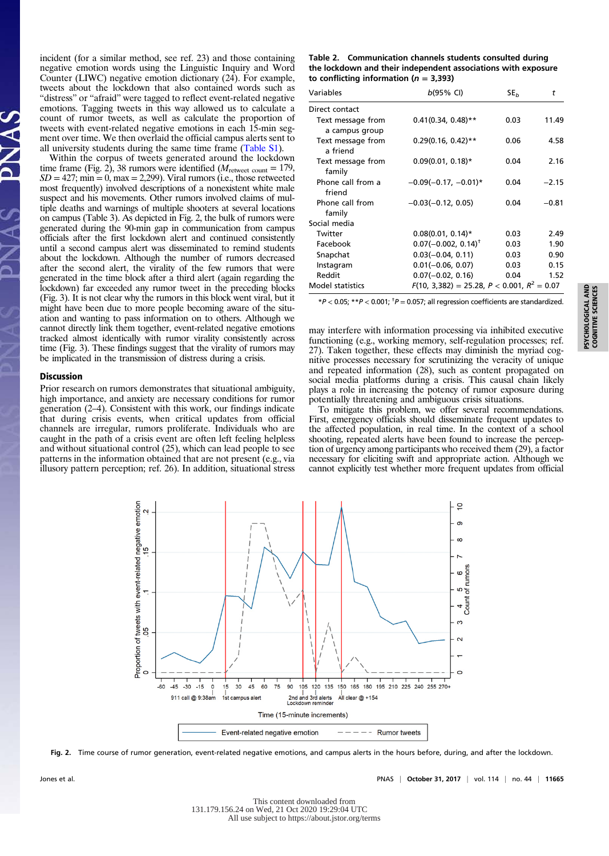incident (for a similar method, see ref. 23) and those containing negative emotion words using the Linguistic Inquiry and Word Counter (LIWC) negative emotion dictionary (24). For example, tweets about the lockdown that also contained words such as "distress" or "afraid" were tagged to reflect event-related negative emotions. Tagging tweets in this way allowed us to calculate a count of rumor tweets, as well as calculate the proportion of tweets with event-related negative emotions in each 15-min segment over time. We then overlaid the official campus alerts sent to all university students during the same time frame [\(Table S1\)](http://www.pnas.org/lookup/suppl/doi:10.1073/pnas.1708518114/-/DCSupplemental/pnas.201708518SI.pdf?targetid=nameddest=ST1).

Within the corpus of tweets generated around the lockdown time frame (Fig. 2), 38 rumors were identified ( $M_{\text{reduced count}} = 179$ ,  $SD = 427$ ; min = 0, max = 2,299). Viral rumors (i.e., those retweeted most frequently) involved descriptions of a nonexistent white male suspect and his movements. Other rumors involved claims of multiple deaths and warnings of multiple shooters at several locations on campus (Table 3). As depicted in Fig. 2, the bulk of rumors were generated during the 90-min gap in communication from campus officials after the first lockdown alert and continued consistently until a second campus alert was disseminated to remind students about the lockdown. Although the number of rumors decreased after the second alert, the virality of the few rumors that were generated in the time block after a third alert (again regarding the lockdown) far exceeded any rumor tweet in the preceding blocks (Fig. 3). It is not clear why the rumors in this block went viral, but it might have been due to more people becoming aware of the situation and wanting to pass information on to others. Although we cannot directly link them together, event-related negative emotions tracked almost identically with rumor virality consistently across time (Fig. 3). These findings suggest that the virality of rumors may be implicated in the transmission of distress during a crisis.

## **Discussion**

Prior research on rumors demonstrates that situational ambiguity, high importance, and anxiety are necessary conditions for rumor generation (2–4). Consistent with this work, our findings indicate that during crisis events, when critical updates from official channels are irregular, rumors proliferate. Individuals who are caught in the path of a crisis event are often left feeling helpless and without situational control (25), which can lead people to see patterns in the information obtained that are not present (e.g., via illusory pattern perception; ref. 26). In addition, situational stress

Table 2. Communication channels students consulted during the lockdown and their independent associations with exposure to conflicting information ( $n = 3,393$ )

| Variables                           | $b(95% \text{ Cl})$                           | <b>SE</b> <sub>h</sub> | t       |
|-------------------------------------|-----------------------------------------------|------------------------|---------|
| Direct contact                      |                                               |                        |         |
| Text message from<br>a campus group | $0.41(0.34, 0.48)$ **                         | 0.03                   | 11.49   |
| Text message from<br>a friend       | $0.29(0.16, 0.42)$ **                         | 0.06                   | 4.58    |
| Text message from<br>family         | $0.09(0.01, 0.18)$ *                          | 0.04                   | 2.16    |
| Phone call from a<br>friend         | $-0.09(-0.17, -0.01)*$                        | 0.04                   | $-2.15$ |
| Phone call from<br>family           | $-0.03(-0.12, 0.05)$                          | 0.04                   | $-0.81$ |
| Social media                        |                                               |                        |         |
| Twitter                             | $0.08(0.01, 0.14)$ *                          | 0.03                   | 2.49    |
| Facebook                            | $0.07(-0.002, 0.14)^{\dagger}$                | 0.03                   | 1.90    |
| Snapchat                            | $0.03(-0.04, 0.11)$                           | 0.03                   | 0.90    |
| Instagram                           | $0.01(-0.06, 0.07)$                           | 0.03                   | 0.15    |
| Reddit                              | $0.07(-0.02, 0.16)$                           | 0.04                   | 1.52    |
| Model statistics                    | $F(10, 3,382) = 25.28, P < 0.001, R^2 = 0.07$ |                        |         |

 $*P < 0.05$ ;  $*P < 0.001$ ;  $^{\dagger}P = 0.057$ ; all regression coefficients are standardized.

may interfere with information processing via inhibited executive functioning (e.g., working memory, self-regulation processes; ref. 27). Taken together, these effects may diminish the myriad cognitive processes necessary for scrutinizing the veracity of unique and repeated information (28), such as content propagated on social media platforms during a crisis. This causal chain likely plays a role in increasing the potency of rumor exposure during potentially threatening and ambiguous crisis situations.

To mitigate this problem, we offer several recommendations. First, emergency officials should disseminate frequent updates to the affected population, in real time. In the context of a school shooting, repeated alerts have been found to increase the perception of urgency among participants who received them (29), a factor necessary for eliciting swift and appropriate action. Although we cannot explicitly test whether more frequent updates from official



Fig. 2. Time course of rumor generation, event-related negative emotions, and campus alerts in the hours before, during, and after the lockdown.

Jones et al. PNAS <sup>|</sup> October 31, 2017 <sup>|</sup> vol. 114 <sup>|</sup> no. 44 <sup>|</sup> 11665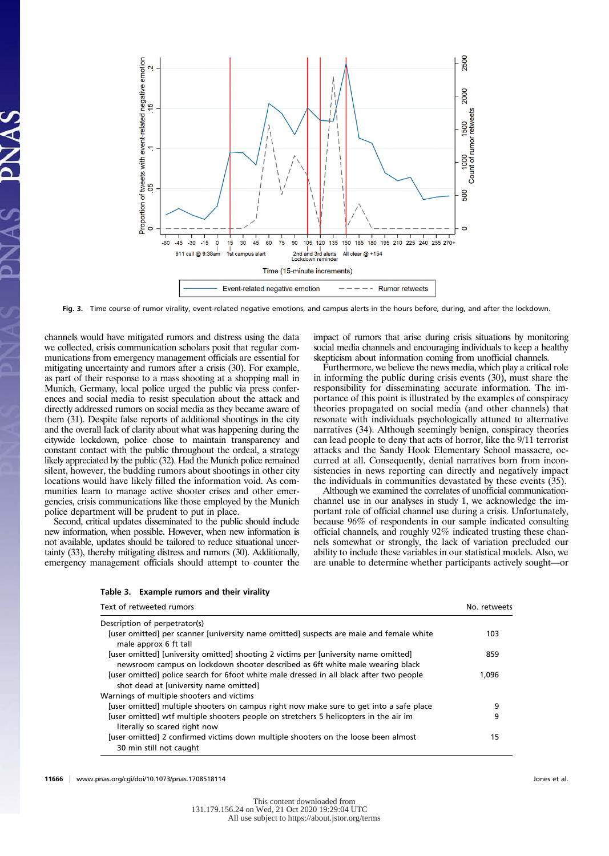

Fig. 3. Time course of rumor virality, event-related negative emotions, and campus alerts in the hours before, during, and after the lockdown.

channels would have mitigated rumors and distress using the data we collected, crisis communication scholars posit that regular communications from emergency management officials are essential for mitigating uncertainty and rumors after a crisis (30). For example, as part of their response to a mass shooting at a shopping mall in Munich, Germany, local police urged the public via press conferences and social media to resist speculation about the attack and directly addressed rumors on social media as they became aware of them (31). Despite false reports of additional shootings in the city and the overall lack of clarity about what was happening during the citywide lockdown, police chose to maintain transparency and constant contact with the public throughout the ordeal, a strategy likely appreciated by the public (32). Had the Munich police remained silent, however, the budding rumors about shootings in other city locations would have likely filled the information void. As communities learn to manage active shooter crises and other emergencies, crisis communications like those employed by the Munich police department will be prudent to put in place.

Second, critical updates disseminated to the public should include new information, when possible. However, when new information is not available, updates should be tailored to reduce situational uncertainty (33), thereby mitigating distress and rumors (30). Additionally, emergency management officials should attempt to counter the impact of rumors that arise during crisis situations by monitoring social media channels and encouraging individuals to keep a healthy skepticism about information coming from unofficial channels.

Furthermore, we believe the news media, which play a critical role in informing the public during crisis events (30), must share the responsibility for disseminating accurate information. The importance of this point is illustrated by the examples of conspiracy theories propagated on social media (and other channels) that resonate with individuals psychologically attuned to alternative narratives (34). Although seemingly benign, conspiracy theories can lead people to deny that acts of horror, like the 9/11 terrorist attacks and the Sandy Hook Elementary School massacre, occurred at all. Consequently, denial narratives born from inconsistencies in news reporting can directly and negatively impact the individuals in communities devastated by these events (35).

Although we examined the correlates of unofficial communicationchannel use in our analyses in study 1, we acknowledge the important role of official channel use during a crisis. Unfortunately, because 96% of respondents in our sample indicated consulting official channels, and roughly 92% indicated trusting these channels somewhat or strongly, the lack of variation precluded our ability to include these variables in our statistical models. Also, we are unable to determine whether participants actively sought—or

| Text of retweeted rumors                                                                                                                                              | No. retweets |
|-----------------------------------------------------------------------------------------------------------------------------------------------------------------------|--------------|
| Description of perpetrator(s)                                                                                                                                         |              |
| [user omitted] per scanner [university name omitted] suspects are male and female white<br>male approx 6 ft tall                                                      | 103          |
| [user omitted] [university omitted] shooting 2 victims per [university name omitted]<br>newsroom campus on lockdown shooter described as 6ft white male wearing black | 859          |
| [user omitted] police search for 6foot white male dressed in all black after two people<br>shot dead at [university name omitted]                                     | 1.096        |
| Warnings of multiple shooters and victims                                                                                                                             |              |
| [user omitted] multiple shooters on campus right now make sure to get into a safe place                                                                               | 9            |
| [user omitted] wtf multiple shooters people on stretchers 5 helicopters in the air im<br>literally so scared right now                                                | 9            |
| [user omitted] 2 confirmed victims down multiple shooters on the loose been almost<br>30 min still not caught                                                         | 15           |

# Table 3. Example rumors and their virality

11666 <sup>|</sup> <www.pnas.org/cgi/doi/10.1073/pnas.1708518114> Jones et al.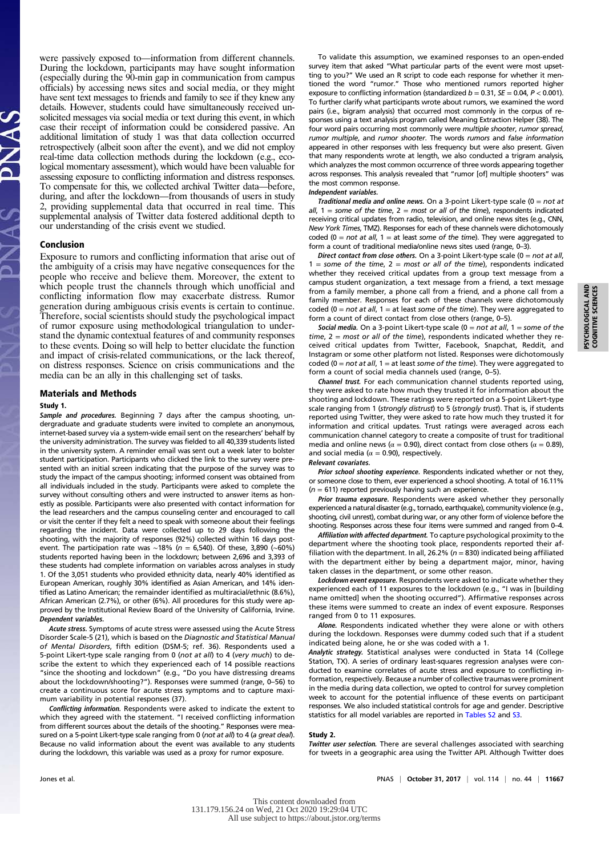were passively exposed to—information from different channels. During the lockdown, participants may have sought information (especially during the 90-min gap in communication from campus officials) by accessing news sites and social media, or they might have sent text messages to friends and family to see if they knew any details. However, students could have simultaneously received unsolicited messages via social media or text during this event, in which case their receipt of information could be considered passive. An additional limitation of study 1 was that data collection occurred retrospectively (albeit soon after the event), and we did not employ real-time data collection methods during the lockdown (e.g., ecological momentary assessment), which would have been valuable for assessing exposure to conflicting information and distress responses. To compensate for this, we collected archival Twitter data—before, during, and after the lockdown—from thousands of users in study 2, providing supplemental data that occurred in real time. This supplemental analysis of Twitter data fostered additional depth to our understanding of the crisis event we studied.

### Conclusion

Exposure to rumors and conflicting information that arise out of the ambiguity of a crisis may have negative consequences for the people who receive and believe them. Moreover, the extent to which people trust the channels through which unofficial and conflicting information flow may exacerbate distress. Rumor generation during ambiguous crisis events is certain to continue. Therefore, social scientists should study the psychological impact of rumor exposure using methodological triangulation to understand the dynamic contextual features of and community responses to these events. Doing so will help to better elucidate the function and impact of crisis-related communications, or the lack thereof, on distress responses. Science on crisis communications and the media can be an ally in this challenging set of tasks.

## Materials and Methods

#### Study 1.

Sample and procedures. Beginning 7 days after the campus shooting, undergraduate and graduate students were invited to complete an anonymous, internet-based survey via a system-wide email sent on the researchers' behalf by the university administration. The survey was fielded to all 40,339 students listed in the university system. A reminder email was sent out a week later to bolster student participation. Participants who clicked the link to the survey were presented with an initial screen indicating that the purpose of the survey was to study the impact of the campus shooting; informed consent was obtained from all individuals included in the study. Participants were asked to complete the survey without consulting others and were instructed to answer items as honestly as possible. Participants were also presented with contact information for the lead researchers and the campus counseling center and encouraged to call or visit the center if they felt a need to speak with someone about their feelings regarding the incident. Data were collected up to 29 days following the shooting, with the majority of responses (92%) collected within 16 days postevent. The participation rate was ~18% (n = 6,540). Of these, 3,890 (~60%) students reported having been in the lockdown; between 2,696 and 3,393 of these students had complete information on variables across analyses in study 1. Of the 3,051 students who provided ethnicity data, nearly 40% identified as European American, roughly 30% identified as Asian American, and 14% identified as Latino American; the remainder identified as multiracial/ethnic (8.6%), African American (2.7%), or other (6%). All procedures for this study were approved by the Institutional Review Board of the University of California, Irvine. Dependent variables.

Acute stress. Symptoms of acute stress were assessed using the Acute Stress Disorder Scale-5 (21), which is based on the Diagnostic and Statistical Manual of Mental Disorders, fifth edition (DSM-5; ref. 36). Respondents used a 5-point Likert-type scale ranging from 0 (not at all) to 4 (very much) to describe the extent to which they experienced each of 14 possible reactions "since the shooting and lockdown" (e.g., "Do you have distressing dreams about the lockdown/shooting?"). Responses were summed (range, 0–56) to create a continuous score for acute stress symptoms and to capture maximum variability in potential responses (37).

Conflicting information. Respondents were asked to indicate the extent to which they agreed with the statement. "I received conflicting information from different sources about the details of the shooting." Responses were measured on a 5-point Likert-type scale ranging from 0 (not at all) to 4 (a great deal). Because no valid information about the event was available to any students during the lockdown, this variable was used as a proxy for rumor exposure.

To validate this assumption, we examined responses to an open-ended survey item that asked "What particular parts of the event were most upsetting to you?" We used an R script to code each response for whether it mentioned the word "rumor." Those who mentioned rumors reported higher exposure to conflicting information (standardized  $b = 0.31$ ,  $SE = 0.04$ ,  $P < 0.001$ ). To further clarify what participants wrote about rumors, we examined the word pairs (i.e., bigram analysis) that occurred most commonly in the corpus of responses using a text analysis program called Meaning Extraction Helper (38). The four word pairs occurring most commonly were multiple shooter, rumor spread, rumor multiple, and rumor shooter. The words rumors and false information appeared in other responses with less frequency but were also present. Given that many respondents wrote at length, we also conducted a trigram analysis, which analyzes the most common occurrence of three words appearing together across responses. This analysis revealed that "rumor [of] multiple shooters" was the most common response.

### Independent variables.

Traditional media and online news. On a 3-point Likert-type scale ( $0 = not$  at all,  $1 =$  some of the time,  $2 =$  most or all of the time), respondents indicated receiving critical updates from radio, television, and online news sites (e.g., CNN, New York Times, TMZ). Responses for each of these channels were dichotomously coded ( $0 = not at all$ ,  $1 = at least some of the time$ ). They were aggregated to form a count of traditional media/online news sites used (range, 0–3).

Direct contact from close others. On a 3-point Likert-type scale  $(0 = not at all,$ 1 = some of the time,  $2 =$  most or all of the time), respondents indicated whether they received critical updates from a group text message from a campus student organization, a text message from a friend, a text message from a family member, a phone call from a friend, and a phone call from a family member. Responses for each of these channels were dichotomously coded ( $0 = not$  at all,  $1 =$  at least some of the time). They were aggregated to form a count of direct contact from close others (range, 0–5).

Social media. On a 3-point Likert-type scale ( $0 = not$  at all,  $1 =$  some of the time,  $2 =$  most or all of the time), respondents indicated whether they received critical updates from Twitter, Facebook, Snapchat, Reddit, and Instagram or some other platform not listed. Responses were dichotomously coded  $(0 = not at all, 1 = at least some of the time)$ . They were aggregated to form a count of social media channels used (range, 0–5).

Channel trust. For each communication channel students reported using, they were asked to rate how much they trusted it for information about the shooting and lockdown. These ratings were reported on a 5-point Likert-type scale ranging from 1 (strongly distrust) to 5 (strongly trust). That is, if students reported using Twitter, they were asked to rate how much they trusted it for information and critical updates. Trust ratings were averaged across each communication channel category to create a composite of trust for traditional media and online news ( $\alpha = 0.90$ ), direct contact from close others ( $\alpha = 0.89$ ), and social media ( $\alpha = 0.90$ ), respectively.

## Relevant covariates.

Prior school shooting experience. Respondents indicated whether or not they, or someone close to them, ever experienced a school shooting. A total of 16.11%  $(n = 611)$  reported previously having such an experience.

Prior trauma exposure. Respondents were asked whether they personally experienced a natural disaster (e.g., tornado, earthquake), community violence (e.g., shooting, civil unrest), combat during war, or any other form of violence before the shooting. Responses across these four items were summed and ranged from 0–4.

Affiliation with affected department. To capture psychological proximity to the department where the shooting took place, respondents reported their affiliation with the department. In all, 26.2% ( $n = 830$ ) indicated being affiliated with the department either by being a department major, minor, having taken classes in the department, or some other reason.

Lockdown event exposure. Respondents were asked to indicate whether they experienced each of 11 exposures to the lockdown (e.g., "I was in [building name omitted] when the shooting occurred"). Affirmative responses across these items were summed to create an index of event exposure. Responses ranged from 0 to 11 exposures.

Alone. Respondents indicated whether they were alone or with others during the lockdown. Responses were dummy coded such that if a student indicated being alone, he or she was coded with a 1.

Analytic strategy. Statistical analyses were conducted in Stata 14 (College Station, TX). A series of ordinary least-squares regression analyses were conducted to examine correlates of acute stress and exposure to conflicting information, respectively. Because a number of collective traumas were prominent in the media during data collection, we opted to control for survey completion week to account for the potential influence of these events on participant responses. We also included statistical controls for age and gender. Descriptive statistics for all model variables are reported in [Tables S2](http://www.pnas.org/lookup/suppl/doi:10.1073/pnas.1708518114/-/DCSupplemental/pnas.201708518SI.pdf?targetid=nameddest=ST2) and [S3.](http://www.pnas.org/lookup/suppl/doi:10.1073/pnas.1708518114/-/DCSupplemental/pnas.201708518SI.pdf?targetid=nameddest=ST3)

#### Study 2.

Twitter user selection. There are several challenges associated with searching for tweets in a geographic area using the Twitter API. Although Twitter does

Jones et al. PNAS <sup>|</sup> October 31, 2017 <sup>|</sup> vol. 114 <sup>|</sup> no. 44 <sup>|</sup> 11667